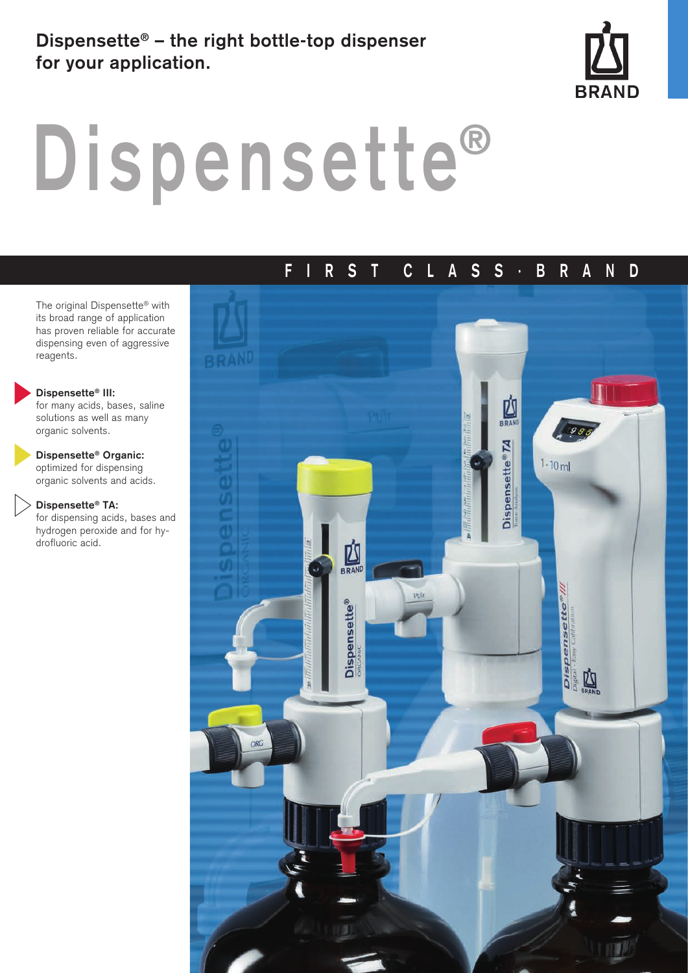# **Dispensette® – the right bottle-top dispenser for your application.**



# **Dispensette®**

# **FIRS T CLASS·BRAND**

The original Dispensette® with its broad range of application has proven reliable for accurate dispensing even of aggressive reagents.

#### **Dispensette® III:**

for many acids, bases, saline solutions as well as many organic solvents.

#### **Dispensette® Organic:** optimized for dispensing

organic solvents and acids.

#### **Dispensette® TA:**

for dispensing acids, bases and hydrogen peroxide and for hydrofluoric acid.

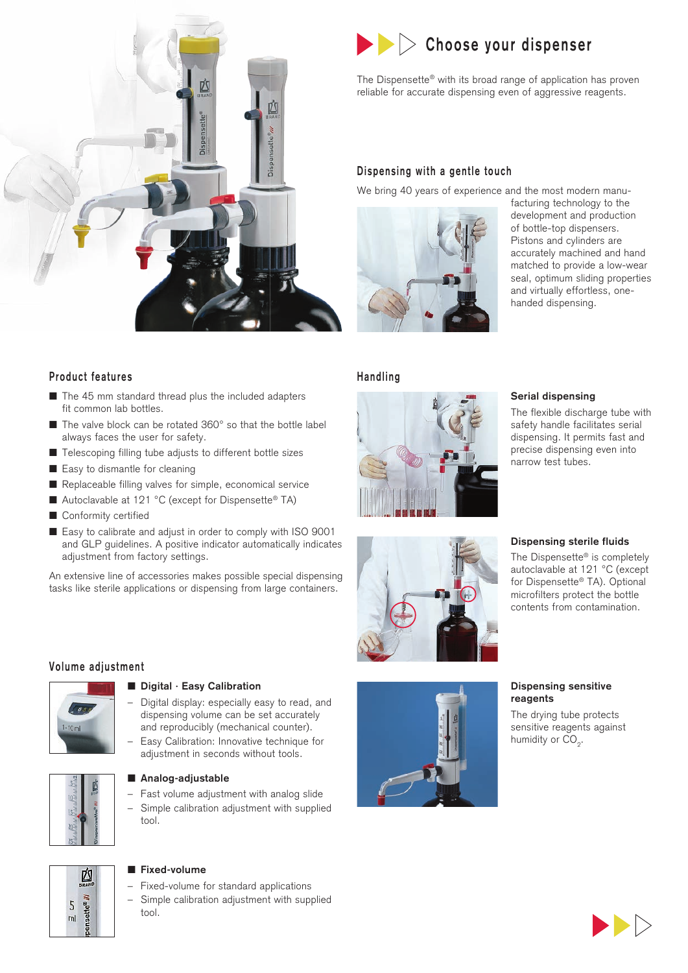

#### **Product features**

- The 45 mm standard thread plus the included adapters fit common lab bottles.
- The valve block can be rotated 360° so that the bottle label always faces the user for safety.
- Telescoping filling tube adjusts to different bottle sizes
- Easy to dismantle for cleaning
- Replaceable filling valves for simple, economical service
- Autoclavable at 121 °C (except for Dispensette<sup>®</sup> TA)
- Conformity certified
- Easy to calibrate and adjust in order to comply with ISO 9001 and GLP guidelines. A positive indicator automatically indicates adjustment from factory settings.

An extensive line of accessories makes possible special dispensing tasks like sterile applications or dispensing from large containers.

#### **Volume adjustment**



#### ■ **Digital · Easy Calibration**

- Digital display: especially easy to read, and dispensing volume can be set accurately and reproducibly (mechanical counter).
- Easy Calibration: Innovative technique for adjustment in seconds without tools.



#### ■ Analog-adjustable

– Fast volume adjustment with analog slide – Simple calibration adjustment with supplied tool.



## ■ **Fixed-volume**

- Fixed-volume for standard applications
- Simple calibration adjustment with supplied tool.

# **Choose your dispenser**

The Dispensette® with its broad range of application has proven reliable for accurate dispensing even of aggressive reagents.

#### **Dispensing with a gentle touch**

We bring 40 years of experience and the most modern manu-



facturing technology to the development and production of bottle-top dispensers. Pistons and cylinders are accurately machined and hand matched to provide a low-wear seal, optimum sliding properties and virtually effortless, onehanded dispensing.

#### **Handling**







The flexible discharge tube with safety handle facilitates serial dispensing. It permits fast and precise dispensing even into narrow test tubes.

#### **Dispensing sterile fluids**

The Dispensette® is completely autoclavable at 121 °C (except for Dispensette<sup>®</sup> TA). Optional microfilters protect the bottle contents from contamination.



#### **Dispensing sensitive reagents**

The drying tube protects sensitive reagents against humidity or  $CO<sub>2</sub>$ .

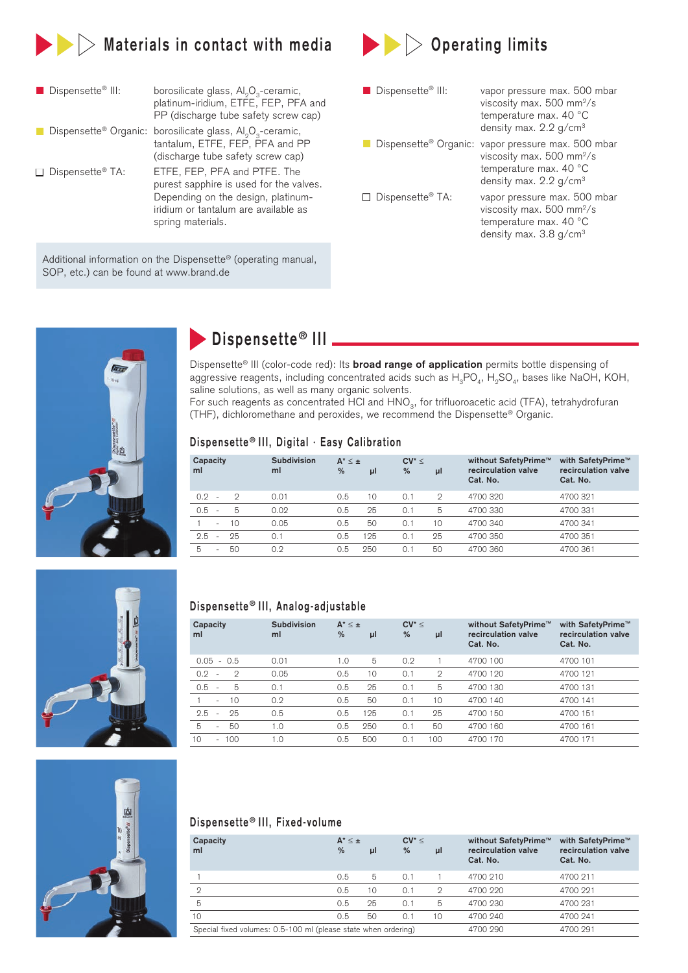

| <b>Dispensette<sup>®</sup></b> III: | borosilicate glass, Al <sub>2</sub> O <sub>3</sub> -ceramic,<br>platinum-iridium, ETFE, FEP, PFA and<br>PP (discharge tube safety screw cap)                               |
|-------------------------------------|----------------------------------------------------------------------------------------------------------------------------------------------------------------------------|
|                                     | Dispensette® Organic: borosilicate glass, Al <sub>o</sub> O <sub>3</sub> -ceramic,<br>tantalum, ETFE, FEP, PFA and PP<br>(discharge tube safety screw cap)                 |
| $\Box$ Dispensette <sup>®</sup> TA: | ETFE, FEP, PFA and PTFE. The<br>purest sapphire is used for the valves.<br>Depending on the design, platinum-<br>iridium or tantalum are available as<br>spring materials. |

Additional information on the Dispensette® (operating manual, SOP, etc.) can be found at www.brand.de

| $\blacktriangleright$ $\blacktriangleright$ Operating limits |  |
|--------------------------------------------------------------|--|
|                                                              |  |
|                                                              |  |

| Dispensette <sup>®</sup> III:       | vapor pressure max. 500 mbar<br>viscosity max. $500 \text{ mm}^2/\text{s}$<br>temperature max. 40 °C<br>density max. $2.2$ g/cm <sup>3</sup> |
|-------------------------------------|----------------------------------------------------------------------------------------------------------------------------------------------|
| Dispensette <sup>®</sup> Organic:   | vapor pressure max. 500 mbar<br>viscosity max. 500 mm <sup>2</sup> /s<br>temperature max. 40 °C<br>density max. $2.2$ g/cm <sup>3</sup>      |
| $\Box$ Dispensette <sup>®</sup> TA: | vapor pressure max. 500 mbar<br>viscosity max. $500 \text{ mm}^2/\text{s}$<br>temperature max. 40 °C<br>density max. $3.8$ g/cm <sup>3</sup> |



# **Dispensette<sup>®</sup> III**

Dispensette® III (color-code red): Its **broad range of application** permits bottle dispensing of aggressive reagents, including concentrated acids such as  $H_3PO_4$ ,  $H_5SO_4$ , bases like NaOH, KOH, saline solutions, as well as many organic solvents.

For such reagents as concentrated  $\overline{H}Cl$  and  $HNO<sub>3</sub>$ , for trifluoroacetic acid (TFA), tetrahydrofuran (THF), dichloromethane and peroxides, we recommend the Dispensette® Organic.

#### **Dispensette ® III, Digital · Easy Calibration**

| Capacity<br>ml           |         | Subdivision<br>ml | $A^*$ < $\pm$<br>% | μl  | $CV^* \leq$<br>% | μl            | without SafetyPrime™<br>recirculation valve<br>Cat. No. | with SafetyPrime™<br>recirculation valve<br>Cat. No. |
|--------------------------|---------|-------------------|--------------------|-----|------------------|---------------|---------------------------------------------------------|------------------------------------------------------|
| $0.2^{\circ}$<br>$\sim$  | $\circ$ | 0.01              | 0.5                | 10  | 0.1              | $\mathcal{D}$ | 4700 320                                                | 4700 321                                             |
| 0.5<br>$\sim$            | 5       | 0.02              | 0.5                | 25  | 0.1              | 5             | 4700 330                                                | 4700 331                                             |
| $\overline{\phantom{a}}$ | 10      | 0.05              | 0.5                | 50  | 0.1              | 10            | 4700 340                                                | 4700 341                                             |
| 2.5<br>$\sim$            | 25      | 0.1               | 0.5                | 125 | 0.1              | 25            | 4700 350                                                | 4700 351                                             |
| 5<br>$\sim$              | 50      | 0.2               | 0.5                | 250 | 0.1              | 50            | 4700 360                                                | 4700 361                                             |



#### **Dispensette ® III, Analog-adjustable**

| Capacity<br>ml                                   | Subdivision<br>ml | $A^* \leq \pm$<br>% | μl  | $CV^* <$<br>% | μl            | without SafetyPrime™<br>recirculation valve<br>Cat. No. | with SafetyPrime™<br>recirculation valve<br>Cat. No. |
|--------------------------------------------------|-------------------|---------------------|-----|---------------|---------------|---------------------------------------------------------|------------------------------------------------------|
| $0.05 - 0.5$                                     | 0.01              | 1.0                 | 5   | 0.2           |               | 4700 100                                                | 4700 101                                             |
| 0.2<br>$\mathcal{D}$<br>$\overline{\phantom{a}}$ | 0.05              | 0.5                 | 10  | 0.1           | $\mathcal{D}$ | 4700 120                                                | 4700 121                                             |
| 0.5<br>5<br>$\overline{\phantom{a}}$             | 0.1               | 0.5                 | 25  | 0.1           | 5             | 4700 130                                                | 4700 131                                             |
| 10<br>$\sim$                                     | 0.2               | 0.5                 | 50  | 0.1           | 10            | 4700 140                                                | 4700 141                                             |
| 2.5<br>25<br>$\sim$                              | 0.5               | 0.5                 | 125 | 0.1           | 25            | 4700 150                                                | 4700 151                                             |
| 5<br>50<br>$\sim$                                | 1.0               | 0.5                 | 250 | 0.1           | 50            | 4700 160                                                | 4700 161                                             |
| $-100$<br>10                                     | 1.0               | 0.5                 | 500 | 0.1           | 100           | 4700 170                                                | 4700 171                                             |

## **Dispensette ® III, Fixed-volume**

| Capacity<br>ml                                                 | $A^*$ < $\pm$<br>$\frac{9}{6}$ | μl | $CV^* \leq$<br>% | μl | without SafetyPrime™<br>recirculation valve<br>Cat. No. | with SafetyPrime™<br>recirculation valve<br>Cat. No. |
|----------------------------------------------------------------|--------------------------------|----|------------------|----|---------------------------------------------------------|------------------------------------------------------|
|                                                                | 0.5                            | 5  | 0.1              |    | 4700 210                                                | 4700 211                                             |
| 2                                                              | 0.5                            | 10 | 0.1              | 2  | 4700 220                                                | 4700 221                                             |
| 5                                                              | 0.5                            | 25 | 0.1              | 5  | 4700 230                                                | 4700 231                                             |
| 10                                                             | 0.5                            | 50 | 0.1              | 10 | 4700 240                                                | 4700 241                                             |
| Special fixed volumes: 0.5-100 ml (please state when ordering) |                                |    |                  |    | 4700 290                                                | 4700 291                                             |

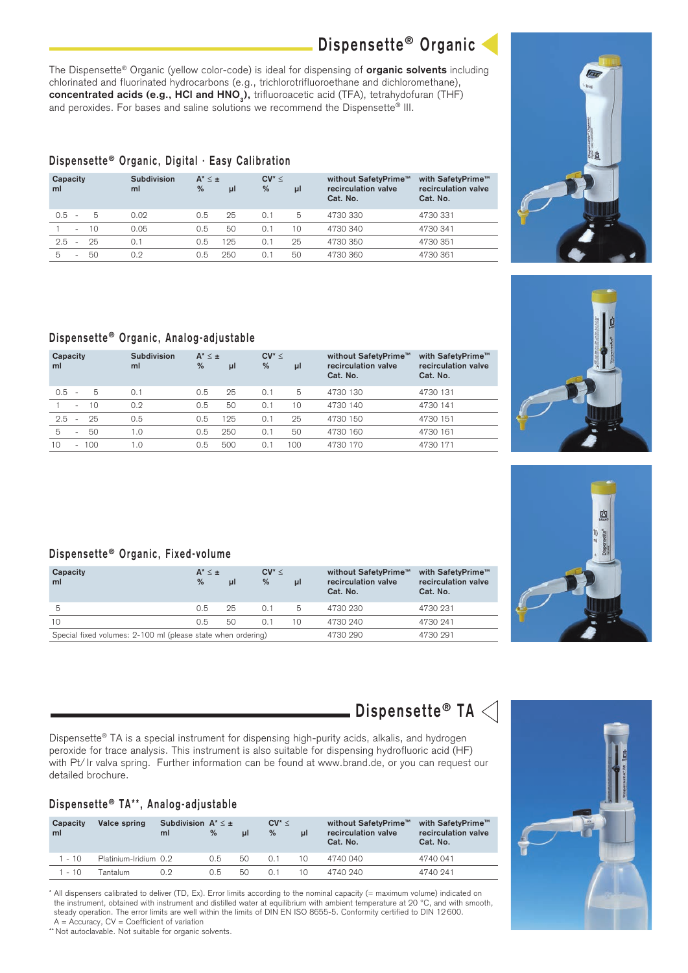The Dispensette® Organic (yellow color-code) is ideal for dispensing of **organic solvents** including chlorinated and fluorinated hydrocarbons (e.g., trichlorotrifluoroethane and dichloromethane), **concentrated acids (e.g., HCl and HNO<sub>3</sub>)**, trifluoroacetic acid (TFA), tetrahydofuran (THF) and peroxides. For bases and saline solutions we recommend the Dispensette<sup>®</sup> III.

### **Dispensette ® Organic, Digital · Easy Calibration**

| Capacity<br>ml                        | Subdivision<br>ml | $A^*$ < $\pm$<br>% | μl  | $CV^* <$<br>% | μI | without SafetyPrime™<br>recirculation valve<br>Cat. No. | with SafetyPrime™<br>recirculation valve<br>Cat. No. |
|---------------------------------------|-------------------|--------------------|-----|---------------|----|---------------------------------------------------------|------------------------------------------------------|
| 0.5<br>-5<br>٠.                       | 0.02              | 0.5                | 25  | 0.1           | 5  | 4730 330                                                | 4730 331                                             |
| 10<br>$\sim$                          | 0.05              | 0.5                | 50  | 0.1           | 10 | 4730 340                                                | 4730 341                                             |
| 2.5<br>25<br>$\overline{\phantom{a}}$ | 0.1               | 0.5                | 125 | 0.1           | 25 | 4730 350                                                | 4730 351                                             |
| 5<br>50<br>۰                          | 0.2               | 0.5                | 250 | 0.1           | 50 | 4730 360                                                | 4730 361                                             |

## **Dispensette ® Organic, Analog-adjustable**

| Capacity<br>ml      | Subdivision<br>ml | $A^* \leq \pm$<br>% | μl  | $CV^* \leq$<br>% | μl  | without SafetyPrime™<br>recirculation valve<br>Cat. No. | with SafetyPrime™<br>recirculation valve<br>Cat. No. |
|---------------------|-------------------|---------------------|-----|------------------|-----|---------------------------------------------------------|------------------------------------------------------|
| 0.5<br>-5<br>$\sim$ | 0.1               | 0.5                 | 25  | 0.1              | 5   | 4730 130                                                | 4730 131                                             |
| 10<br>$\sim$        | 0.2               | 0.5                 | 50  | 0.1              | 10  | 4730 140                                                | 4730 141                                             |
| 2.5<br>25<br>$\sim$ | 0.5               | 0.5                 | 125 | 0.1              | 25  | 4730 150                                                | 4730 151                                             |
| 5<br>50<br>٠        | 1.0               | 0.5                 | 250 | 0.1              | 50  | 4730 160                                                | 4730 161                                             |
| $-100$<br>10        | 1.0               | 0.5                 | 500 | $0$ .            | 100 | 4730 170                                                | 4730 171                                             |

#### **Dispensette ® Organic, Fixed-volume**

| Capacity<br>ml                                               | $A^*$ < $\pm$<br>% | μl       | $CV^* \leq$<br>$\%$ | ul | without SafetyPrime™<br>recirculation valve<br>Cat. No. | with SafetyPrime™<br>recirculation valve<br>Cat. No. |
|--------------------------------------------------------------|--------------------|----------|---------------------|----|---------------------------------------------------------|------------------------------------------------------|
| 5                                                            | 0.5                | 25       | 0.1                 | 5  | 4730 230                                                | 4730 231                                             |
| 10                                                           | 0.5                | 50       | 0.1                 | 10 | 4730 240                                                | 4730 241                                             |
| Special fixed volumes: 2-100 ml (please state when ordering) |                    | 4730 290 | 4730 291            |    |                                                         |                                                      |

 $\blacksquare$  Dispensette® TA  $<$ 

Dispensette® TA is a special instrument for dispensing high-purity acids, alkalis, and hydrogen peroxide for trace analysis. This instrument is also suitable for dispensing hydrofluoric acid (HF) with Pt/ Ir valva spring. Further information can be found at www.brand.de, or you can request our detailed brochure.

### **Dispensette ® TA\*\*, Analog-adjustable**

| Capacity<br>ml | Valce spring          | Subdivision $A^* \leq \pm$<br>ml | $\%$ | ul | $CV^* <$<br>$\%$ | μl | without SafetyPrime™<br>recirculation valve<br>Cat. No. | with SafetvPrime™<br>recirculation valve<br>Cat. No. |
|----------------|-----------------------|----------------------------------|------|----|------------------|----|---------------------------------------------------------|------------------------------------------------------|
| $1 - 10$       | Platinium-Iridium 0.2 |                                  | 0.5  | 50 | O. 1             | 10 | 4740 040                                                | 4740 041                                             |
| $1 - 10$       | Tantalum              | በ 9                              | 0.5  | 50 |                  | 10 | 4740 240                                                | 4740 241                                             |

\* All dispensers calibrated to deliver (TD, Ex). Error limits according to the nominal capacity (= maximum volume) indicated on the instrument, obtained with instrument and distilled water at equilibrium with ambient temperature at 20 °C, and with smooth, steady operation. The error limits are well within the limits of DIN EN ISO 8655-5. Conformity certified to DIN 12 600.

 $A = Accuracy, CV = Coefficient of variation$ 

\*\* Not autoclavable. Not suitable for organic solvents.











**Dispensette ® Organic**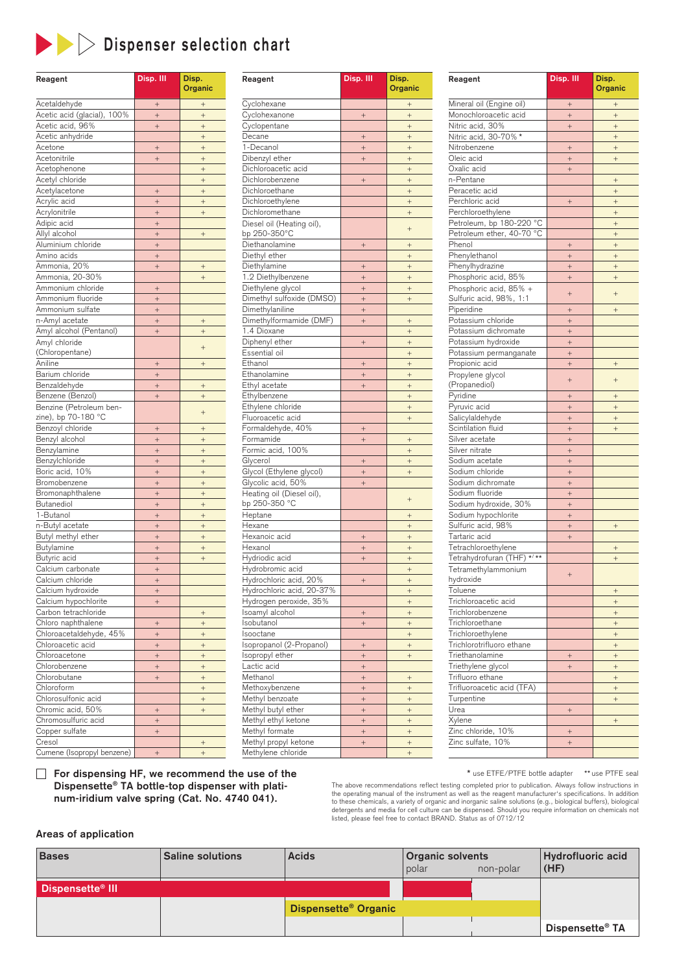

# **Dispenser selection chart**

| Reagent                     | Disp. III | Disp.<br>Organic |
|-----------------------------|-----------|------------------|
| Acetaldehyde                | $\! + \!$ | $^{+}$           |
| Acetic acid (glacial), 100% | $^{+}$    | $+$              |
| Acetic acid, 96%            | $^{+}$    | $+$              |
| Acetic anhydride            |           | $\! +$           |
| Acetone                     | $^{+}$    | $\! + \!$        |
| Acetonitrile                | $^{+}$    | $\! +$           |
| Acetophenone                |           | $\! + \!$        |
| Acetyl chloride             |           | $^{+}$           |
| Acetylacetone               | $^{+}$    | $^{+}$           |
| Acrylic acid                | $^{+}$    | $+$              |
| Acrylonitrile               | $^{+}$    | $\! + \!$        |
| Adipic acid                 | $^{+}$    |                  |
| Allyl alcohol               | $^{+}$    | $^{+}$           |
| Aluminium chloride          | $^{+}$    |                  |
| Amino acids                 | $^{+}$    |                  |
| Ammonia, 20%                | $^{+}$    | $^{+}$           |
| Ammonia, 20-30%             |           | $\ddot{}$        |
| Ammonium chloride           | $^{+}$    |                  |
| Ammonium fluoride           | $^{+}$    |                  |
| Ammonium sulfate            | $^{+}$    |                  |
| n-Amyl acetate              | $^{+}$    | $^{+}$           |
| Amyl alcohol (Pentanol)     | $^{+}$    | $^{+}$           |
| Amyl chloride               |           |                  |
| (Chloropentane)             |           | $^{+}$           |
| Aniline                     | $^{+}$    | $^{+}$           |
| Barium chloride             | $\! + \!$ |                  |
| Benzaldehyde                | $+$       | $\! +$           |
| Benzene (Benzol)            | $^{+}$    | $^{+}$           |
| Benzine (Petroleum ben-     |           |                  |
| zine), bp 70-180 °C         |           | $^{+}$           |
| Benzoyl chloride            | $^{+}$    | $^{+}$           |
| Benzyl alcohol              | $^{+}$    | $\! + \!$        |
| Benzylamine                 | $^{+}$    | $\! +$           |
| Benzylchloride              | $^{+}$    | $^{+}$           |
| Boric acid, 10%             | $^{+}$    | $^{+}$           |
| Bromobenzene                | $^{+}$    | $^{+}$           |
| Bromonaphthalene            | $^{+}$    | $^{+}$           |
| <b>Butanediol</b>           | $^{+}$    | $^{+}$           |
| 1-Butanol                   | $^{+}$    | $^{+}$           |
| n-Butyl acetate             | $^{+}$    | $^{+}$           |
| Butyl methyl ether          | $^{+}$    | $^{+}$           |
| Butylamine                  | $^{+}$    | $^{+}$           |
| Butyric acid                | $^{+}$    | $\! + \!$        |
| Calcium carbonate           | $^{+}$    |                  |
| Calcium chloride            | $^{+}$    |                  |
| Calcium hydroxide           | $^{+}$    |                  |
| Calcium hypochlorite        | $^{+}$    |                  |
| Carbon tetrachloride        |           | $\! +$           |
| Chloro naphthalene          | $^{+}$    | $\! + \!$        |
| Chloroacetaldehyde, 45%     | $^{+}$    | $^{+}$           |
| Chloroacetic acid           | $^{+}$    | $^{+}$           |
| Chloroacetone               | $^{+}$    | $^{+}$           |
| Chlorobenzene               | $^{+}$    | $\! + \!$        |
| Chlorobutane                | $^{+}$    | $\! + \!$        |
| Chloroform                  |           | $\! + \!$        |
| Chlorosulfonic acid         |           | $\! + \!$        |
| Chromic acid, 50%           | $^{+}$    | $\! + \!$        |
| Chromosulfuric acid         | $^{+}$    |                  |
| Copper sulfate              | $^{+}$    |                  |
| Cresol                      |           | $^{+}$           |
| Cumene (Isopropyl benzene)  | $^{+}$    | $\ddot{}$        |

| Reagent                                    | Disp. III         | Disp.            |
|--------------------------------------------|-------------------|------------------|
|                                            |                   | Organic          |
| Cyclohexane                                |                   | $^{+}$           |
| Cyclohexanone                              | $^{+}$            |                  |
| Cyclopentane                               |                   | $^{+}$           |
| Decane                                     | $^{+}$            | $^+$             |
| 1-Decanol                                  | $^{+}$            | $^{+}$           |
| Dibenzyl ether                             | $\qquad \qquad +$ |                  |
| Dichloroacetic acid                        |                   | $^{+}$           |
| Dichlorobenzene                            | $^{+}$            | $\! + \!$        |
| Dichloroethane                             |                   | $+$              |
| Dichloroethylene                           |                   | $\! + \!$        |
| Dichloromethane                            |                   | $^{+}$           |
| Diesel oil (Heating oil),<br>bp 250-350°C  |                   | $^{+}$           |
| Diethanolamine                             | $^{+}$            | $^{+}$           |
| Diethyl ether                              |                   |                  |
| Diethylamine                               | $^{+}$            | $^{+}$           |
|                                            |                   |                  |
| 1.2 Diethylbenzene<br>Diethylene glycol    | $^{+}$<br>$^{+}$  | $^{+}$           |
| Dimethyl sulfoxide (DMSO)                  | $^{+}$            | $^{+}$           |
| Dimethylaniline                            | $^{+}$            |                  |
| Dimethylformamide (DMF)                    | $^{+}$            | $^{+}$           |
| 1.4 Dioxane                                |                   |                  |
|                                            |                   | $^{+}$           |
| Diphenyl ether<br>Essential oil            | $^{+}$            |                  |
|                                            |                   | $^{+}$           |
| Ethanol                                    | $^{+}$            | $\! + \!$        |
| Ethanolamine<br>Ethyl acetate              | $^{+}$            | $+$              |
|                                            | $^{+}$            | $^+$             |
| Ethylbenzene<br>Ethylene chloride          |                   | $^{+}$           |
| Fluoroacetic acid                          |                   | $^+$             |
|                                            |                   | $^{+}$           |
| Formaldehyde, 40%<br>Formamide             | $^{+}$            |                  |
| Formic acid, 100%                          | $^{+}$            | $^{+}$<br>$^{+}$ |
| Glycerol                                   | $^{+}$            | $\! + \!\!\!\!$  |
| Glycol (Ethylene glycol)                   | $^{+}$            | $^{+}$           |
| Glycolic acid, 50%                         | $^{+}$            |                  |
| Heating oil (Diesel oil),<br>bp 250-350 °C |                   | $^{+}$           |
| Heptane                                    |                   |                  |
| Hexane                                     |                   | $^{+}$           |
| Hexanoic acid                              | $^{+}$            | $^{+}$           |
| Hexanol                                    | $^{+}$            | $^{+}$           |
| Hydriodic acid                             | $^{+}$            | $^{+}$           |
| Hydrobromic acid                           |                   | $^{+}$           |
| Hydrochloric acid, 20%                     |                   | $^{+}$           |
| Hydrochloric acid, 20-37%                  | $^{+}$            |                  |
| Hydrogen peroxide, 35%                     |                   | $^+$             |
| Isoamyl alcohol                            |                   | $^{+}$<br>$^{+}$ |
| Isobutanol                                 | $^{+}$<br>$^{+}$  | $^{+}$           |
| Isooctane                                  |                   | $^+$             |
| Isopropanol (2-Propanol)                   |                   |                  |
| Isopropyl ether                            | $^{+}$<br>$^{+}$  | $+$<br>$^+$      |
| Lactic acid                                | $^{+}$            |                  |
| Methanol                                   | $^{+}$            | $^{+}$           |
| Methoxybenzene                             | $^{+}$            | $\! + \!$        |
| Methyl benzoate                            | $^{+}$            | $^{+}$           |
| Methyl butyl ether                         |                   |                  |
| Methyl ethyl ketone                        | $^{+}$<br>$^{+}$  | $\! +$<br>$^{+}$ |
| Methyl formate                             | $^{+}$            | $\! + \!$        |
| Methyl propyl ketone                       | $^{+}$            | $^{+}$           |
|                                            |                   |                  |

| Reagent                                  | Disp. III                | Disp.<br>Organic |
|------------------------------------------|--------------------------|------------------|
| Mineral oil (Engine oil)                 | $^{+}$                   | $^{+}$           |
| Monochloroacetic acid                    | $^{+}$                   | $^{+}$           |
| Nitric acid, 30%                         | $\overline{+}$           | $^{+}$           |
| Nitric acid, 30-70% *                    |                          | $\ddot{}$        |
| Nitrobenzene                             | $^{+}$                   | $^{+}$           |
| Oleic acid                               | $+$                      | $\ddot{}$        |
| Oxalic acid                              | $^{+}$                   |                  |
| n-Pentane                                |                          | $^{+}$           |
| Peracetic acid                           |                          | $^{+}$           |
| Perchloric acid                          | $^{+}$                   | $^{+}$           |
| Perchloroethylene                        |                          | $^{+}$           |
| Petroleum, bp 180-220 °C                 |                          | $\! +$           |
| Petroleum ether, 40-70 °C                |                          | $\ddot{}$        |
| Phenol                                   | $^{+}$                   | $^{+}$           |
| Phenylethanol                            | $\overline{+}$           | $\ddot{}$        |
| Phenylhydrazine                          | $\overline{+}$           | $^{+}$           |
| Phosphoric acid, 85%                     | $\overline{+}$           | $\ddot{}$        |
| Phosphoric acid, 85% +                   | $^{+}$                   | $\ddot{}$        |
| Sulfuric acid, 98%, 1:1                  |                          |                  |
| Piperidine                               | $^{+}$                   | $^{+}$           |
| Potassium chloride                       | $\overline{+}$           |                  |
| Potassium dichromate                     | $\overline{+}$           |                  |
| Potassium hydroxide                      | $^{+}$                   |                  |
| Potassium permanganate                   | $^{+}$                   |                  |
| Propionic acid                           | $^{+}$                   | $^{+}$           |
| Propylene glycol                         | $\overline{+}$           | $\ddot{}$        |
| (Propanediol)                            |                          |                  |
| Pyridine                                 | $^{+}$                   | $^{+}$           |
| Pyruvic acid                             | $\overline{+}$           | $\ddot{}$        |
| Salicylaldehyde                          | $^{+}$                   | $^{+}$           |
| Scintilation fluid                       | $\overline{+}$           | $\ddot{}$        |
| Silver acetate                           | $^{+}$                   |                  |
| Silver nitrate<br>Sodium acetate         | $^{+}$<br>$\overline{+}$ |                  |
| Sodium chloride                          | $^{+}$                   |                  |
| Sodium dichromate                        | $^{+}$                   |                  |
| Sodium fluoride                          | $^{+}$                   |                  |
| Sodium hydroxide, 30%                    | $\overline{+}$           |                  |
| Sodium hypochlorite                      | $^{+}$                   |                  |
| Sulfuric acid, 98%                       | $^{+}$                   | $^{+}$           |
| Tartaric acid                            | $^{+}$                   |                  |
| Tetrachloroethylene                      |                          | $^{+}$           |
| $\overline{**}$<br>Tetrahydrofuran (THF) |                          | $^{+}$           |
| Tetramethylammonium                      |                          |                  |
| hydroxide                                | $^{+}$                   |                  |
| <b>I</b> oluene                          |                          | $^{+}$           |
| Trichloroacetic acid                     |                          | $^{+}$           |
| Trichlorobenzene                         |                          | $^{+}$           |
| Trichloroethane                          |                          | $^{+}$           |
| Trichloroethylene                        |                          | $^{+}$           |
| Trichlorotrifluoro ethane                |                          | $^{+}$           |
| Triethanolamine                          | $^{+}$                   | $^{+}$           |
| Triethylene glycol                       | $^{+}$                   | $^{+}$           |
| Trifluoro ethane                         |                          | $\! + \!$        |
| Trifluoroacetic acid (TFA)               |                          | $^{+}$           |
| Turpentine                               |                          | $^{+}$           |
| Urea                                     | $^{+}$                   |                  |
| Xylene                                   |                          | $^{+}$           |
| Zinc chloride, 10%                       | $^{+}$                   |                  |
| Zinc sulfate, 10%                        | $^{+}$                   |                  |
|                                          |                          |                  |

**For dispensing HF, we recommend the use of the Dispensette® TA bottle-top dispenser with platinum-iridium valve spring (Cat. No. 4740 041).**

\* use ETFE/PTFE bottle adapter \*\* use PTFE seal

The above recommendations reflect testing completed prior to publication. Always follow instructions in the operating manual of the instrument as well as the reagent manufacturer's specifications. In addition<br>to these chemicals, a variety of organic and inorganic saline solutions (e.g., biological buffers), biological<br>deterg

#### **Areas of application**

| <b>Bases</b>                 | <b>Saline solutions</b> | <b>Acids</b>                     | <b>Organic solvents</b><br>polar | non-polar | Hydrofluoric acid<br>$ $ (HF) |
|------------------------------|-------------------------|----------------------------------|----------------------------------|-----------|-------------------------------|
| Dispensette <sup>®</sup> III |                         |                                  |                                  |           |                               |
|                              |                         | Dispensette <sup>®</sup> Organic |                                  |           |                               |
|                              |                         |                                  |                                  |           | Dispensette <sup>®</sup> TA   |

Methylene chloride